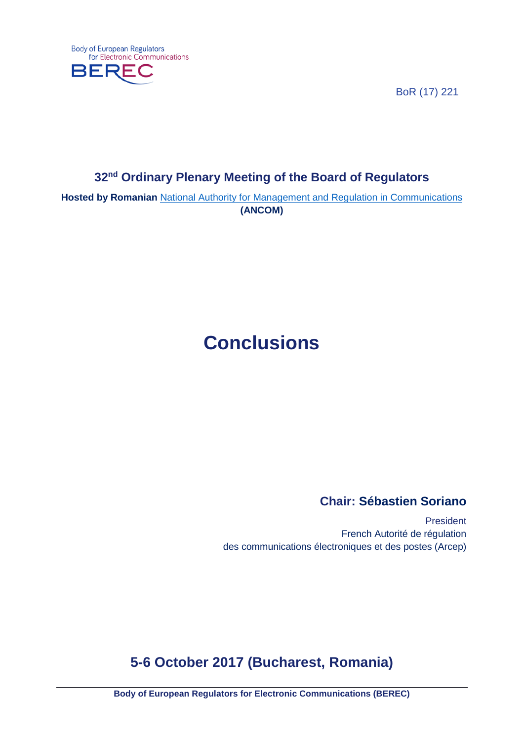**Body of European Regulators** for Electronic Communications



BoR (17) 221

# **32nd Ordinary Plenary Meeting of the Board of Regulators**

**Hosted by Romanian** [National Authority for Management and Regulation in Communications](http://www.ancom.org.ro/en/) **(ANCOM)**

# **Conclusions**

### **Chair: Sébastien Soriano**

President French Autorité de régulation des communications électroniques et des postes (Arcep)

# **5-6 October 2017 (Bucharest, Romania)**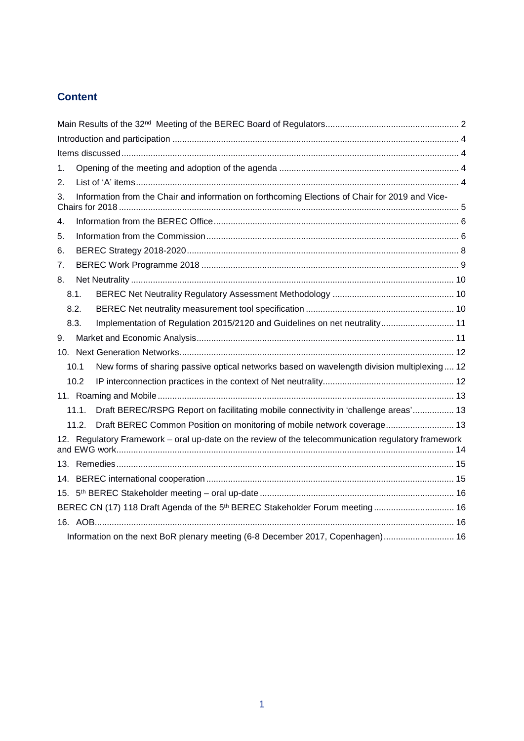### **Content**

| 1.                                                                                       |                                                                                                     |                                                                                                 |  |
|------------------------------------------------------------------------------------------|-----------------------------------------------------------------------------------------------------|-------------------------------------------------------------------------------------------------|--|
| 2.                                                                                       |                                                                                                     |                                                                                                 |  |
| 3.                                                                                       |                                                                                                     | Information from the Chair and information on forthcoming Elections of Chair for 2019 and Vice- |  |
| 4.                                                                                       |                                                                                                     |                                                                                                 |  |
| 5.                                                                                       |                                                                                                     |                                                                                                 |  |
| 6.                                                                                       |                                                                                                     |                                                                                                 |  |
| 7.                                                                                       |                                                                                                     |                                                                                                 |  |
| 8.                                                                                       |                                                                                                     |                                                                                                 |  |
|                                                                                          | 8.1.                                                                                                |                                                                                                 |  |
|                                                                                          | 8.2.                                                                                                |                                                                                                 |  |
|                                                                                          | 8.3.                                                                                                | Implementation of Regulation 2015/2120 and Guidelines on net neutrality 11                      |  |
| 9.                                                                                       |                                                                                                     |                                                                                                 |  |
|                                                                                          |                                                                                                     |                                                                                                 |  |
|                                                                                          | 10.1                                                                                                | New forms of sharing passive optical networks based on wavelength division multiplexing 12      |  |
|                                                                                          | 10.2                                                                                                |                                                                                                 |  |
|                                                                                          |                                                                                                     |                                                                                                 |  |
|                                                                                          | 11.1.                                                                                               | Draft BEREC/RSPG Report on facilitating mobile connectivity in 'challenge areas' 13             |  |
|                                                                                          | 11.2.                                                                                               | Draft BEREC Common Position on monitoring of mobile network coverage 13                         |  |
|                                                                                          | 12. Regulatory Framework – oral up-date on the review of the telecommunication regulatory framework |                                                                                                 |  |
|                                                                                          |                                                                                                     |                                                                                                 |  |
|                                                                                          |                                                                                                     |                                                                                                 |  |
|                                                                                          |                                                                                                     |                                                                                                 |  |
| BEREC CN (17) 118 Draft Agenda of the 5 <sup>th</sup> BEREC Stakeholder Forum meeting 16 |                                                                                                     |                                                                                                 |  |
|                                                                                          |                                                                                                     |                                                                                                 |  |
|                                                                                          |                                                                                                     | Information on the next BoR plenary meeting (6-8 December 2017, Copenhagen) 16                  |  |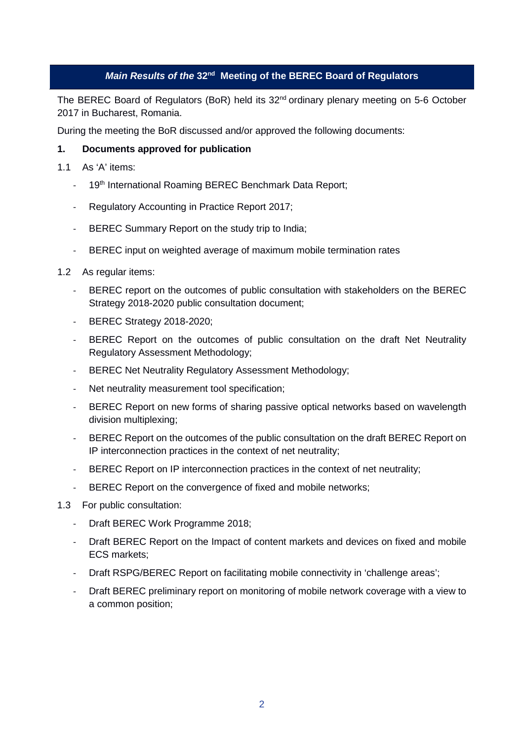#### *Main Results of the* **32nd Meeting of the BEREC Board of Regulators**

<span id="page-2-0"></span>The BEREC Board of Regulators (BoR) held its 32<sup>nd</sup> ordinary plenary meeting on 5-6 October 2017 in Bucharest, Romania.

During the meeting the BoR discussed and/or approved the following documents:

#### **1. Documents approved for publication**

- 1.1 As 'A' items:
	- 19th International Roaming BEREC Benchmark Data Report;
	- Regulatory Accounting in Practice Report 2017;
	- BEREC Summary Report on the study trip to India;
	- BEREC input on weighted average of maximum mobile termination rates
- 1.2 As regular items:
	- BEREC report on the outcomes of public consultation with stakeholders on the BEREC Strategy 2018-2020 public consultation document;
	- BEREC Strategy 2018-2020;
	- BEREC Report on the outcomes of public consultation on the draft Net Neutrality Regulatory Assessment Methodology;
	- BEREC Net Neutrality Regulatory Assessment Methodology;
	- Net neutrality measurement tool specification;
	- BEREC Report on new forms of sharing passive optical networks based on wavelength division multiplexing;
	- BEREC Report on the outcomes of the public consultation on the draft BEREC Report on IP interconnection practices in the context of net neutrality;
	- BEREC Report on IP interconnection practices in the context of net neutrality;
	- BEREC Report on the convergence of fixed and mobile networks;
- 1.3 For public consultation:
	- Draft BEREC Work Programme 2018;
	- Draft BEREC Report on the Impact of content markets and devices on fixed and mobile ECS markets;
	- Draft RSPG/BEREC Report on facilitating mobile connectivity in 'challenge areas';
	- Draft BEREC preliminary report on monitoring of mobile network coverage with a view to a common position;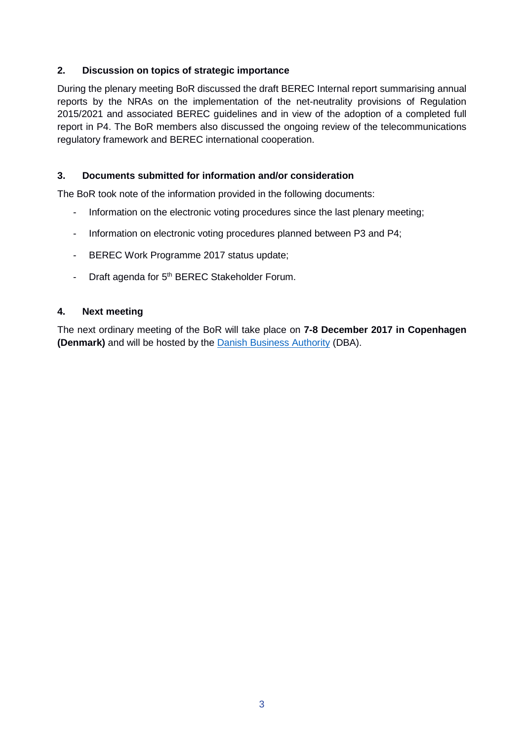#### **2. Discussion on topics of strategic importance**

During the plenary meeting BoR discussed the draft BEREC Internal report summarising annual reports by the NRAs on the implementation of the net-neutrality provisions of Regulation 2015/2021 and associated BEREC guidelines and in view of the adoption of a completed full report in P4. The BoR members also discussed the ongoing review of the telecommunications regulatory framework and BEREC international cooperation.

#### **3. Documents submitted for information and/or consideration**

The BoR took note of the information provided in the following documents:

- Information on the electronic voting procedures since the last plenary meeting;
- Information on electronic voting procedures planned between P3 and P4;
- BEREC Work Programme 2017 status update;
- Draft agenda for 5<sup>th</sup> BEREC Stakeholder Forum.

#### **4. Next meeting**

The next ordinary meeting of the BoR will take place on **7-8 December 2017 in Copenhagen (Denmark)** and will be hosted by the [Danish Business Authority](http://danishbusinessauthority.dk/) (DBA).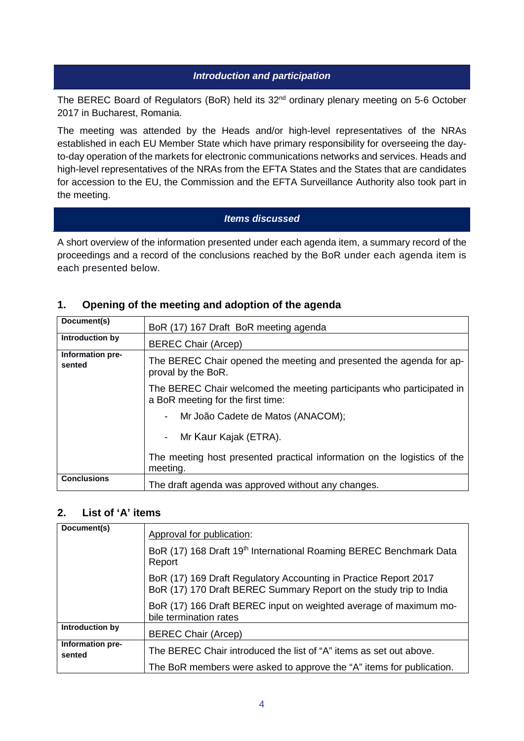#### *Introduction and participation*

<span id="page-4-0"></span>The BEREC Board of Regulators (BoR) held its 32<sup>nd</sup> ordinary plenary meeting on 5-6 October 2017 in Bucharest, Romania.

The meeting was attended by the Heads and/or high-level representatives of the NRAs established in each EU Member State which have primary responsibility for overseeing the dayto-day operation of the markets for electronic communications networks and services. Heads and high-level representatives of the NRAs from the EFTA States and the States that are candidates for accession to the EU, the Commission and the EFTA Surveillance Authority also took part in the meeting.

#### *Items discussed*

<span id="page-4-1"></span>A short overview of the information presented under each agenda item, a summary record of the proceedings and a record of the conclusions reached by the BoR under each agenda item is each presented below.

### <span id="page-4-2"></span>**1. Opening of the meeting and adoption of the agenda**

| Document(s)                | BoR (17) 167 Draft BoR meeting agenda                                                                      |
|----------------------------|------------------------------------------------------------------------------------------------------------|
| Introduction by            | <b>BEREC Chair (Arcep)</b>                                                                                 |
| Information pre-<br>sented | The BEREC Chair opened the meeting and presented the agenda for ap-<br>proval by the BoR.                  |
|                            | The BEREC Chair welcomed the meeting participants who participated in<br>a BoR meeting for the first time: |
|                            | Mr João Cadete de Matos (ANACOM);                                                                          |
|                            | Mr Kaur Kajak (ETRA).                                                                                      |
|                            | The meeting host presented practical information on the logistics of the<br>meeting.                       |
| <b>Conclusions</b>         | The draft agenda was approved without any changes.                                                         |

#### <span id="page-4-3"></span>**2. List of 'A' items**

| Document(s)                | Approval for publication:                                                                                                              |
|----------------------------|----------------------------------------------------------------------------------------------------------------------------------------|
|                            | BoR (17) 168 Draft 19 <sup>th</sup> International Roaming BEREC Benchmark Data<br>Report                                               |
|                            | BoR (17) 169 Draft Regulatory Accounting in Practice Report 2017<br>BoR (17) 170 Draft BEREC Summary Report on the study trip to India |
|                            | BoR (17) 166 Draft BEREC input on weighted average of maximum mo-<br>bile termination rates                                            |
| Introduction by            | <b>BEREC Chair (Arcep)</b>                                                                                                             |
| Information pre-<br>sented | The BEREC Chair introduced the list of "A" items as set out above.                                                                     |
|                            | The BoR members were asked to approve the "A" items for publication.                                                                   |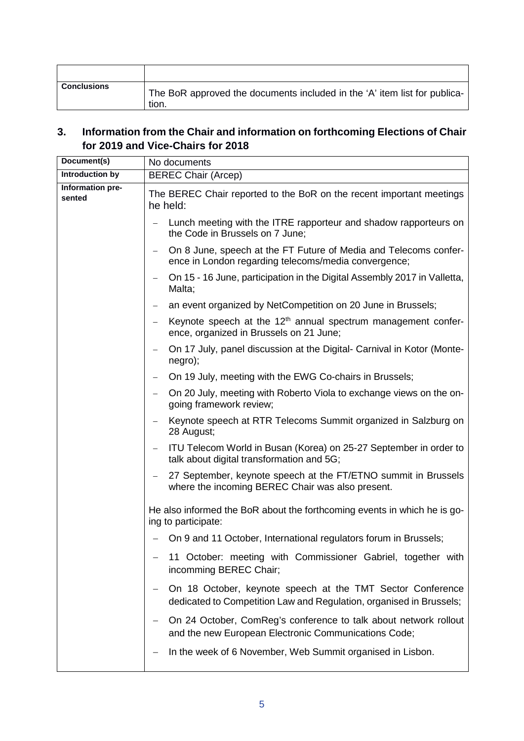| <b>Conclusions</b> | The BoR approved the documents included in the 'A' item list for publica-<br>tion. |
|--------------------|------------------------------------------------------------------------------------|

### <span id="page-5-0"></span>**3. Information from the Chair and information on forthcoming Elections of Chair for 2019 and Vice-Chairs for 2018**

| Document(s)                | No documents                                                                                                                      |
|----------------------------|-----------------------------------------------------------------------------------------------------------------------------------|
| Introduction by            | <b>BEREC Chair (Arcep)</b>                                                                                                        |
| Information pre-<br>sented | The BEREC Chair reported to the BoR on the recent important meetings<br>he held:                                                  |
|                            | Lunch meeting with the ITRE rapporteur and shadow rapporteurs on<br>the Code in Brussels on 7 June;                               |
|                            | On 8 June, speech at the FT Future of Media and Telecoms confer-<br>-<br>ence in London regarding telecoms/media convergence;     |
|                            | On 15 - 16 June, participation in the Digital Assembly 2017 in Valletta,<br>Malta;                                                |
|                            | an event organized by NetCompetition on 20 June in Brussels;<br>$\qquad \qquad -$                                                 |
|                            | Keynote speech at the $12th$ annual spectrum management confer-<br>ence, organized in Brussels on 21 June;                        |
|                            | On 17 July, panel discussion at the Digital- Carnival in Kotor (Monte-<br>negro);                                                 |
|                            | On 19 July, meeting with the EWG Co-chairs in Brussels;                                                                           |
|                            | On 20 July, meeting with Roberto Viola to exchange views on the on-<br>going framework review;                                    |
|                            | Keynote speech at RTR Telecoms Summit organized in Salzburg on<br>28 August;                                                      |
|                            | ITU Telecom World in Busan (Korea) on 25-27 September in order to<br>talk about digital transformation and 5G;                    |
|                            | 27 September, keynote speech at the FT/ETNO summit in Brussels<br>where the incoming BEREC Chair was also present.                |
|                            | He also informed the BoR about the forthcoming events in which he is go-<br>ing to participate:                                   |
|                            | On 9 and 11 October, International regulators forum in Brussels;                                                                  |
|                            | 11 October: meeting with Commissioner Gabriel, together with<br>incomming BEREC Chair;                                            |
|                            | On 18 October, keynote speech at the TMT Sector Conference<br>dedicated to Competition Law and Regulation, organised in Brussels; |
|                            | On 24 October, ComReg's conference to talk about network rollout<br>and the new European Electronic Communications Code;          |
|                            | In the week of 6 November, Web Summit organised in Lisbon.                                                                        |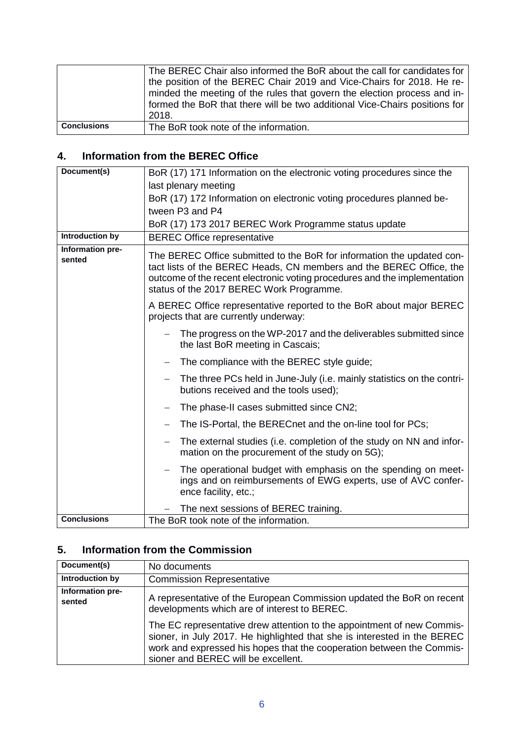|                    | The BEREC Chair also informed the BoR about the call for candidates for<br>the position of the BEREC Chair 2019 and Vice-Chairs for 2018. He re-<br>minded the meeting of the rules that govern the election process and in-<br>formed the BoR that there will be two additional Vice-Chairs positions for<br>2018. |
|--------------------|---------------------------------------------------------------------------------------------------------------------------------------------------------------------------------------------------------------------------------------------------------------------------------------------------------------------|
| <b>Conclusions</b> | The BoR took note of the information.                                                                                                                                                                                                                                                                               |

### <span id="page-6-0"></span>**4. Information from the BEREC Office**

| Document(s)                | BoR (17) 171 Information on the electronic voting procedures since the                                                                                                                                                                                                 |
|----------------------------|------------------------------------------------------------------------------------------------------------------------------------------------------------------------------------------------------------------------------------------------------------------------|
|                            | last plenary meeting                                                                                                                                                                                                                                                   |
|                            | BoR (17) 172 Information on electronic voting procedures planned be-                                                                                                                                                                                                   |
|                            | tween P3 and P4                                                                                                                                                                                                                                                        |
|                            | BoR (17) 173 2017 BEREC Work Programme status update                                                                                                                                                                                                                   |
| <b>Introduction by</b>     | <b>BEREC Office representative</b>                                                                                                                                                                                                                                     |
| Information pre-<br>sented | The BEREC Office submitted to the BoR for information the updated con-<br>tact lists of the BEREC Heads, CN members and the BEREC Office, the<br>outcome of the recent electronic voting procedures and the implementation<br>status of the 2017 BEREC Work Programme. |
|                            | A BEREC Office representative reported to the BoR about major BEREC<br>projects that are currently underway:                                                                                                                                                           |
|                            | The progress on the WP-2017 and the deliverables submitted since<br>the last BoR meeting in Cascais;                                                                                                                                                                   |
|                            | The compliance with the BEREC style guide;                                                                                                                                                                                                                             |
|                            | The three PCs held in June-July (i.e. mainly statistics on the contri-<br>$\overline{\phantom{m}}$<br>butions received and the tools used);                                                                                                                            |
|                            | The phase-II cases submitted since CN2;                                                                                                                                                                                                                                |
|                            | The IS-Portal, the BERECnet and the on-line tool for PCs;                                                                                                                                                                                                              |
|                            | The external studies (i.e. completion of the study on NN and infor-<br>mation on the procurement of the study on 5G);                                                                                                                                                  |
|                            | The operational budget with emphasis on the spending on meet-<br>ings and on reimbursements of EWG experts, use of AVC confer-<br>ence facility, etc.;                                                                                                                 |
|                            | The next sessions of BEREC training.                                                                                                                                                                                                                                   |
| <b>Conclusions</b>         | The BoR took note of the information.                                                                                                                                                                                                                                  |

### <span id="page-6-1"></span>**5. Information from the Commission**

| Document(s)                | No documents                                                                                                                                                                                                                                                       |
|----------------------------|--------------------------------------------------------------------------------------------------------------------------------------------------------------------------------------------------------------------------------------------------------------------|
| Introduction by            | <b>Commission Representative</b>                                                                                                                                                                                                                                   |
| Information pre-<br>sented | A representative of the European Commission updated the BoR on recent<br>developments which are of interest to BEREC.                                                                                                                                              |
|                            | The EC representative drew attention to the appointment of new Commis-<br>sioner, in July 2017. He highlighted that she is interested in the BEREC<br>work and expressed his hopes that the cooperation between the Commis-<br>sioner and BEREC will be excellent. |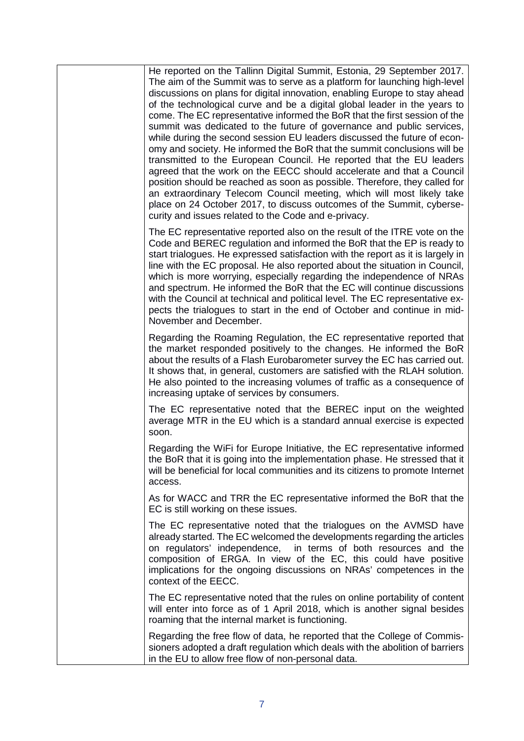He reported on the Tallinn Digital Summit, Estonia, 29 September 2017. The aim of the Summit was to serve as a platform for launching high-level discussions on plans for digital innovation, enabling Europe to stay ahead of the technological curve and be a digital global leader in the years to come. The EC representative informed the BoR that the first session of the summit was dedicated to the future of governance and public services, while during the second session EU leaders discussed the future of economy and society. He informed the BoR that the summit conclusions will be transmitted to the European Council. He reported that the EU leaders agreed that the work on the EECC should accelerate and that a Council position should be reached as soon as possible. Therefore, they called for an extraordinary Telecom Council meeting, which will most likely take place on 24 October 2017, to discuss outcomes of the Summit, cybersecurity and issues related to the Code and e-privacy.

The EC representative reported also on the result of the ITRE vote on the Code and BEREC regulation and informed the BoR that the EP is ready to start trialogues. He expressed satisfaction with the report as it is largely in line with the EC proposal. He also reported about the situation in Council, which is more worrying, especially regarding the independence of NRAs and spectrum. He informed the BoR that the EC will continue discussions with the Council at technical and political level. The EC representative expects the trialogues to start in the end of October and continue in mid-November and December.

Regarding the Roaming Regulation, the EC representative reported that the market responded positively to the changes. He informed the BoR about the results of a Flash Eurobarometer survey the EC has carried out. It shows that, in general, customers are satisfied with the RLAH solution. He also pointed to the increasing volumes of traffic as a consequence of increasing uptake of services by consumers.

The EC representative noted that the BEREC input on the weighted average MTR in the EU which is a standard annual exercise is expected soon.

Regarding the WiFi for Europe Initiative, the EC representative informed the BoR that it is going into the implementation phase. He stressed that it will be beneficial for local communities and its citizens to promote Internet access.

As for WACC and TRR the EC representative informed the BoR that the EC is still working on these issues.

The EC representative noted that the trialogues on the AVMSD have already started. The EC welcomed the developments regarding the articles on regulators' independence, in terms of both resources and the composition of ERGA. In view of the EC, this could have positive implications for the ongoing discussions on NRAs' competences in the context of the EECC.

The EC representative noted that the rules on online portability of content will enter into force as of 1 April 2018, which is another signal besides roaming that the internal market is functioning.

Regarding the free flow of data, he reported that the College of Commissioners adopted a draft regulation which deals with the abolition of barriers in the EU to allow free flow of non-personal data.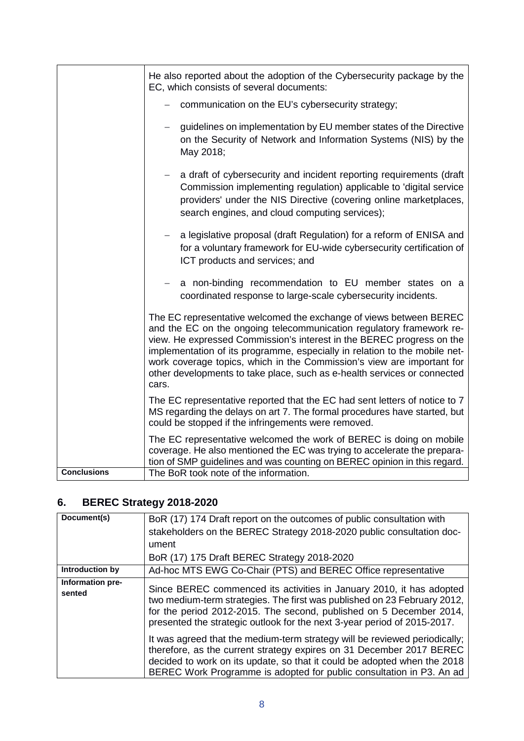|                    | He also reported about the adoption of the Cybersecurity package by the<br>EC, which consists of several documents:                                                                                                                                                                                                                                                                                                                                              |
|--------------------|------------------------------------------------------------------------------------------------------------------------------------------------------------------------------------------------------------------------------------------------------------------------------------------------------------------------------------------------------------------------------------------------------------------------------------------------------------------|
|                    | communication on the EU's cybersecurity strategy;                                                                                                                                                                                                                                                                                                                                                                                                                |
|                    | guidelines on implementation by EU member states of the Directive<br>on the Security of Network and Information Systems (NIS) by the<br>May 2018;                                                                                                                                                                                                                                                                                                                |
|                    | a draft of cybersecurity and incident reporting requirements (draft<br>Commission implementing regulation) applicable to 'digital service<br>providers' under the NIS Directive (covering online marketplaces,<br>search engines, and cloud computing services);                                                                                                                                                                                                 |
|                    | a legislative proposal (draft Regulation) for a reform of ENISA and<br>for a voluntary framework for EU-wide cybersecurity certification of<br>ICT products and services; and                                                                                                                                                                                                                                                                                    |
|                    | a non-binding recommendation to EU member states on a<br>coordinated response to large-scale cybersecurity incidents.                                                                                                                                                                                                                                                                                                                                            |
|                    | The EC representative welcomed the exchange of views between BEREC<br>and the EC on the ongoing telecommunication regulatory framework re-<br>view. He expressed Commission's interest in the BEREC progress on the<br>implementation of its programme, especially in relation to the mobile net-<br>work coverage topics, which in the Commission's view are important for<br>other developments to take place, such as e-health services or connected<br>cars. |
|                    | The EC representative reported that the EC had sent letters of notice to 7<br>MS regarding the delays on art 7. The formal procedures have started, but<br>could be stopped if the infringements were removed.                                                                                                                                                                                                                                                   |
|                    | The EC representative welcomed the work of BEREC is doing on mobile<br>coverage. He also mentioned the EC was trying to accelerate the prepara-<br>tion of SMP guidelines and was counting on BEREC opinion in this regard.                                                                                                                                                                                                                                      |
| <b>Conclusions</b> | The BoR took note of the information.                                                                                                                                                                                                                                                                                                                                                                                                                            |

# <span id="page-8-0"></span>**6. BEREC Strategy 2018-2020**

| Document(s)                | BoR (17) 174 Draft report on the outcomes of public consultation with<br>stakeholders on the BEREC Strategy 2018-2020 public consultation doc-                                                                                                                                                         |
|----------------------------|--------------------------------------------------------------------------------------------------------------------------------------------------------------------------------------------------------------------------------------------------------------------------------------------------------|
|                            | ument                                                                                                                                                                                                                                                                                                  |
|                            | BoR (17) 175 Draft BEREC Strategy 2018-2020                                                                                                                                                                                                                                                            |
| Introduction by            | Ad-hoc MTS EWG Co-Chair (PTS) and BEREC Office representative                                                                                                                                                                                                                                          |
| Information pre-<br>sented | Since BEREC commenced its activities in January 2010, it has adopted<br>two medium-term strategies. The first was published on 23 February 2012,<br>for the period 2012-2015. The second, published on 5 December 2014,<br>presented the strategic outlook for the next 3-year period of 2015-2017.    |
|                            | It was agreed that the medium-term strategy will be reviewed periodically;<br>therefore, as the current strategy expires on 31 December 2017 BEREC<br>decided to work on its update, so that it could be adopted when the 2018<br>BEREC Work Programme is adopted for public consultation in P3. An ad |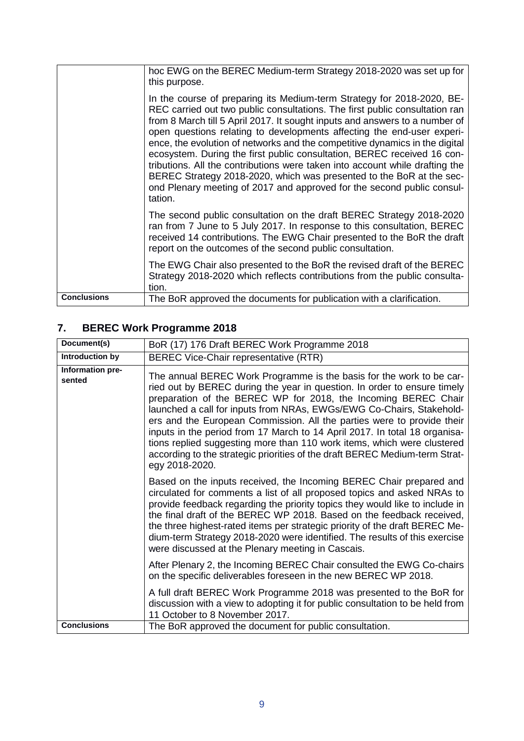|                    | hoc EWG on the BEREC Medium-term Strategy 2018-2020 was set up for<br>this purpose.<br>In the course of preparing its Medium-term Strategy for 2018-2020, BE-<br>REC carried out two public consultations. The first public consultation ran<br>from 8 March till 5 April 2017. It sought inputs and answers to a number of<br>open questions relating to developments affecting the end-user experi-<br>ence, the evolution of networks and the competitive dynamics in the digital<br>ecosystem. During the first public consultation, BEREC received 16 con-<br>tributions. All the contributions were taken into account while drafting the<br>BEREC Strategy 2018-2020, which was presented to the BoR at the sec- |
|--------------------|-------------------------------------------------------------------------------------------------------------------------------------------------------------------------------------------------------------------------------------------------------------------------------------------------------------------------------------------------------------------------------------------------------------------------------------------------------------------------------------------------------------------------------------------------------------------------------------------------------------------------------------------------------------------------------------------------------------------------|
|                    | ond Plenary meeting of 2017 and approved for the second public consul-<br>tation.                                                                                                                                                                                                                                                                                                                                                                                                                                                                                                                                                                                                                                       |
|                    | The second public consultation on the draft BEREC Strategy 2018-2020<br>ran from 7 June to 5 July 2017. In response to this consultation, BEREC<br>received 14 contributions. The EWG Chair presented to the BoR the draft<br>report on the outcomes of the second public consultation.                                                                                                                                                                                                                                                                                                                                                                                                                                 |
|                    | The EWG Chair also presented to the BoR the revised draft of the BEREC<br>Strategy 2018-2020 which reflects contributions from the public consulta-<br>tion.                                                                                                                                                                                                                                                                                                                                                                                                                                                                                                                                                            |
| <b>Conclusions</b> | The BoR approved the documents for publication with a clarification.                                                                                                                                                                                                                                                                                                                                                                                                                                                                                                                                                                                                                                                    |

# <span id="page-9-0"></span>**7. BEREC Work Programme 2018**

| Document(s)                | BoR (17) 176 Draft BEREC Work Programme 2018                                                                                                                                                                                                                                                                                                                                                                                                                                                                                                                                                                                   |
|----------------------------|--------------------------------------------------------------------------------------------------------------------------------------------------------------------------------------------------------------------------------------------------------------------------------------------------------------------------------------------------------------------------------------------------------------------------------------------------------------------------------------------------------------------------------------------------------------------------------------------------------------------------------|
| Introduction by            | BEREC Vice-Chair representative (RTR)                                                                                                                                                                                                                                                                                                                                                                                                                                                                                                                                                                                          |
| Information pre-<br>sented | The annual BEREC Work Programme is the basis for the work to be car-<br>ried out by BEREC during the year in question. In order to ensure timely<br>preparation of the BEREC WP for 2018, the Incoming BEREC Chair<br>launched a call for inputs from NRAs, EWGs/EWG Co-Chairs, Stakehold-<br>ers and the European Commission. All the parties were to provide their<br>inputs in the period from 17 March to 14 April 2017. In total 18 organisa-<br>tions replied suggesting more than 110 work items, which were clustered<br>according to the strategic priorities of the draft BEREC Medium-term Strat-<br>egy 2018-2020. |
|                            | Based on the inputs received, the Incoming BEREC Chair prepared and<br>circulated for comments a list of all proposed topics and asked NRAs to<br>provide feedback regarding the priority topics they would like to include in<br>the final draft of the BEREC WP 2018. Based on the feedback received,<br>the three highest-rated items per strategic priority of the draft BEREC Me-<br>dium-term Strategy 2018-2020 were identified. The results of this exercise<br>were discussed at the Plenary meeting in Cascais.                                                                                                      |
|                            | After Plenary 2, the Incoming BEREC Chair consulted the EWG Co-chairs<br>on the specific deliverables foreseen in the new BEREC WP 2018.                                                                                                                                                                                                                                                                                                                                                                                                                                                                                       |
|                            | A full draft BEREC Work Programme 2018 was presented to the BoR for<br>discussion with a view to adopting it for public consultation to be held from<br>11 October to 8 November 2017.                                                                                                                                                                                                                                                                                                                                                                                                                                         |
| <b>Conclusions</b>         | The BoR approved the document for public consultation.                                                                                                                                                                                                                                                                                                                                                                                                                                                                                                                                                                         |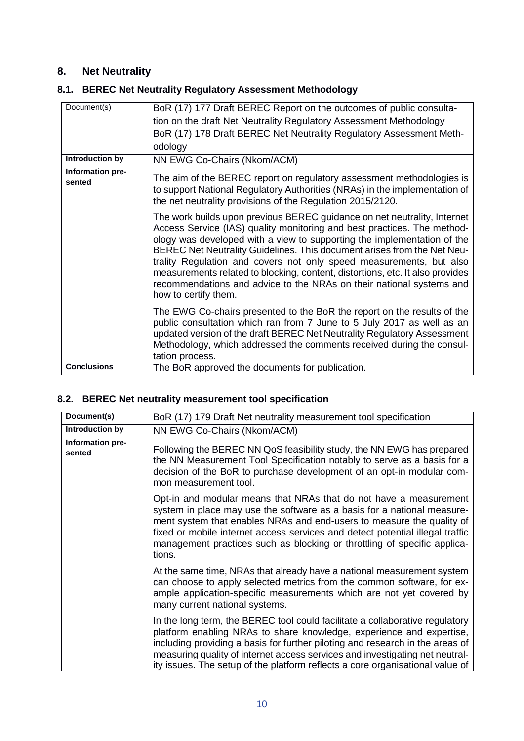### <span id="page-10-0"></span>**8. Net Neutrality**

| Document(s)<br>BoR (17) 177 Draft BEREC Report on the outcomes of public consulta-<br>tion on the draft Net Neutrality Regulatory Assessment Methodology<br>BoR (17) 178 Draft BEREC Net Neutrality Regulatory Assessment Meth-<br>odology<br>Introduction by<br>NN EWG Co-Chairs (Nkom/ACM)<br>Information pre-<br>sented<br>the net neutrality provisions of the Regulation 2015/2120.<br>Access Service (IAS) quality monitoring and best practices. The method-<br>how to certify them.<br>Methodology, which addressed the comments received during the consul-<br>tation process.<br><b>Conclusions</b> |                                                                                                                                                                                                                                                                                                                                                                                                                                                                |
|---------------------------------------------------------------------------------------------------------------------------------------------------------------------------------------------------------------------------------------------------------------------------------------------------------------------------------------------------------------------------------------------------------------------------------------------------------------------------------------------------------------------------------------------------------------------------------------------------------------|----------------------------------------------------------------------------------------------------------------------------------------------------------------------------------------------------------------------------------------------------------------------------------------------------------------------------------------------------------------------------------------------------------------------------------------------------------------|
|                                                                                                                                                                                                                                                                                                                                                                                                                                                                                                                                                                                                               |                                                                                                                                                                                                                                                                                                                                                                                                                                                                |
|                                                                                                                                                                                                                                                                                                                                                                                                                                                                                                                                                                                                               |                                                                                                                                                                                                                                                                                                                                                                                                                                                                |
|                                                                                                                                                                                                                                                                                                                                                                                                                                                                                                                                                                                                               |                                                                                                                                                                                                                                                                                                                                                                                                                                                                |
|                                                                                                                                                                                                                                                                                                                                                                                                                                                                                                                                                                                                               |                                                                                                                                                                                                                                                                                                                                                                                                                                                                |
|                                                                                                                                                                                                                                                                                                                                                                                                                                                                                                                                                                                                               |                                                                                                                                                                                                                                                                                                                                                                                                                                                                |
|                                                                                                                                                                                                                                                                                                                                                                                                                                                                                                                                                                                                               | The aim of the BEREC report on regulatory assessment methodologies is<br>to support National Regulatory Authorities (NRAs) in the implementation of                                                                                                                                                                                                                                                                                                            |
|                                                                                                                                                                                                                                                                                                                                                                                                                                                                                                                                                                                                               | The work builds upon previous BEREC guidance on net neutrality, Internet<br>ology was developed with a view to supporting the implementation of the<br>BEREC Net Neutrality Guidelines. This document arises from the Net Neu-<br>trality Regulation and covers not only speed measurements, but also<br>measurements related to blocking, content, distortions, etc. It also provides<br>recommendations and advice to the NRAs on their national systems and |
|                                                                                                                                                                                                                                                                                                                                                                                                                                                                                                                                                                                                               | The EWG Co-chairs presented to the BoR the report on the results of the<br>public consultation which ran from 7 June to 5 July 2017 as well as an<br>updated version of the draft BEREC Net Neutrality Regulatory Assessment                                                                                                                                                                                                                                   |
|                                                                                                                                                                                                                                                                                                                                                                                                                                                                                                                                                                                                               | The BoR approved the documents for publication.                                                                                                                                                                                                                                                                                                                                                                                                                |

### <span id="page-10-1"></span>**8.1. BEREC Net Neutrality Regulatory Assessment Methodology**

#### <span id="page-10-2"></span>**8.2. BEREC Net neutrality measurement tool specification**

| Document(s)                | BoR (17) 179 Draft Net neutrality measurement tool specification                                                                                                                                                                                                                                                                                                                                       |
|----------------------------|--------------------------------------------------------------------------------------------------------------------------------------------------------------------------------------------------------------------------------------------------------------------------------------------------------------------------------------------------------------------------------------------------------|
| Introduction by            | NN EWG Co-Chairs (Nkom/ACM)                                                                                                                                                                                                                                                                                                                                                                            |
| Information pre-<br>sented | Following the BEREC NN QoS feasibility study, the NN EWG has prepared<br>the NN Measurement Tool Specification notably to serve as a basis for a<br>decision of the BoR to purchase development of an opt-in modular com-<br>mon measurement tool.                                                                                                                                                     |
|                            | Opt-in and modular means that NRAs that do not have a measurement<br>system in place may use the software as a basis for a national measure-<br>ment system that enables NRAs and end-users to measure the quality of<br>fixed or mobile internet access services and detect potential illegal traffic<br>management practices such as blocking or throttling of specific applica-<br>tions.           |
|                            | At the same time, NRAs that already have a national measurement system<br>can choose to apply selected metrics from the common software, for ex-<br>ample application-specific measurements which are not yet covered by<br>many current national systems.                                                                                                                                             |
|                            | In the long term, the BEREC tool could facilitate a collaborative regulatory<br>platform enabling NRAs to share knowledge, experience and expertise,<br>including providing a basis for further piloting and research in the areas of<br>measuring quality of internet access services and investigating net neutral-<br>ity issues. The setup of the platform reflects a core organisational value of |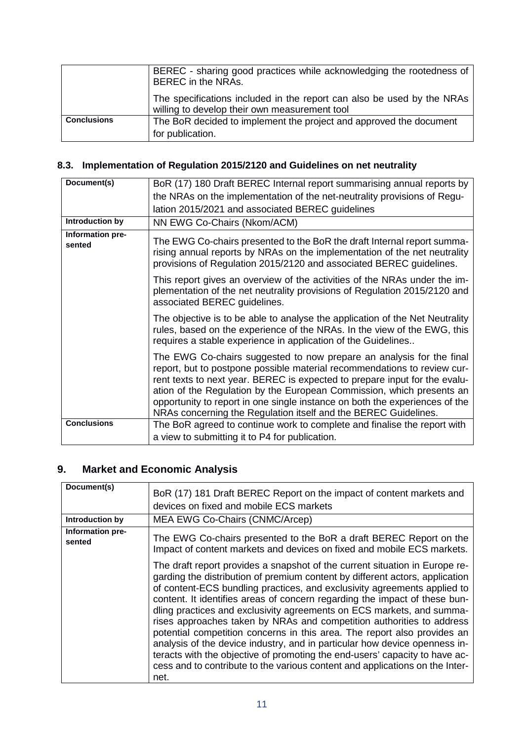|                    | BEREC - sharing good practices while acknowledging the rootedness of<br>BEREC in the NRAs.                              |
|--------------------|-------------------------------------------------------------------------------------------------------------------------|
|                    | The specifications included in the report can also be used by the NRAs<br>willing to develop their own measurement tool |
| <b>Conclusions</b> | The BoR decided to implement the project and approved the document<br>for publication.                                  |

### <span id="page-11-0"></span>**8.3. Implementation of Regulation 2015/2120 and Guidelines on net neutrality**

| Document(s)                | BoR (17) 180 Draft BEREC Internal report summarising annual reports by                                                                                                                                                                                                                                                                                                                                                                                    |
|----------------------------|-----------------------------------------------------------------------------------------------------------------------------------------------------------------------------------------------------------------------------------------------------------------------------------------------------------------------------------------------------------------------------------------------------------------------------------------------------------|
|                            | the NRAs on the implementation of the net-neutrality provisions of Regu-                                                                                                                                                                                                                                                                                                                                                                                  |
|                            | lation 2015/2021 and associated BEREC guidelines                                                                                                                                                                                                                                                                                                                                                                                                          |
| Introduction by            | NN EWG Co-Chairs (Nkom/ACM)                                                                                                                                                                                                                                                                                                                                                                                                                               |
| Information pre-<br>sented | The EWG Co-chairs presented to the BoR the draft Internal report summa-<br>rising annual reports by NRAs on the implementation of the net neutrality<br>provisions of Regulation 2015/2120 and associated BEREC guidelines.                                                                                                                                                                                                                               |
|                            | This report gives an overview of the activities of the NRAs under the im-<br>plementation of the net neutrality provisions of Regulation 2015/2120 and<br>associated BEREC guidelines.                                                                                                                                                                                                                                                                    |
|                            | The objective is to be able to analyse the application of the Net Neutrality<br>rules, based on the experience of the NRAs. In the view of the EWG, this<br>requires a stable experience in application of the Guidelines                                                                                                                                                                                                                                 |
|                            | The EWG Co-chairs suggested to now prepare an analysis for the final<br>report, but to postpone possible material recommendations to review cur-<br>rent texts to next year. BEREC is expected to prepare input for the evalu-<br>ation of the Regulation by the European Commission, which presents an<br>opportunity to report in one single instance on both the experiences of the<br>NRAs concerning the Regulation itself and the BEREC Guidelines. |
| <b>Conclusions</b>         | The BoR agreed to continue work to complete and finalise the report with                                                                                                                                                                                                                                                                                                                                                                                  |
|                            | a view to submitting it to P4 for publication.                                                                                                                                                                                                                                                                                                                                                                                                            |

# <span id="page-11-1"></span>**9. Market and Economic Analysis**

| Document(s)                | BoR (17) 181 Draft BEREC Report on the impact of content markets and<br>devices on fixed and mobile ECS markets                                                                                                                                                                                                                                                                                                                                                                                                                                                                                                                                                                                                                                                                                          |
|----------------------------|----------------------------------------------------------------------------------------------------------------------------------------------------------------------------------------------------------------------------------------------------------------------------------------------------------------------------------------------------------------------------------------------------------------------------------------------------------------------------------------------------------------------------------------------------------------------------------------------------------------------------------------------------------------------------------------------------------------------------------------------------------------------------------------------------------|
| Introduction by            | MEA EWG Co-Chairs (CNMC/Arcep)                                                                                                                                                                                                                                                                                                                                                                                                                                                                                                                                                                                                                                                                                                                                                                           |
| Information pre-<br>sented | The EWG Co-chairs presented to the BoR a draft BEREC Report on the<br>Impact of content markets and devices on fixed and mobile ECS markets.                                                                                                                                                                                                                                                                                                                                                                                                                                                                                                                                                                                                                                                             |
|                            | The draft report provides a snapshot of the current situation in Europe re-<br>garding the distribution of premium content by different actors, application<br>of content-ECS bundling practices, and exclusivity agreements applied to<br>content. It identifies areas of concern regarding the impact of these bun-<br>dling practices and exclusivity agreements on ECS markets, and summa-<br>rises approaches taken by NRAs and competition authorities to address<br>potential competition concerns in this area. The report also provides an<br>analysis of the device industry, and in particular how device openness in-<br>teracts with the objective of promoting the end-users' capacity to have ac-<br>cess and to contribute to the various content and applications on the Inter-<br>net. |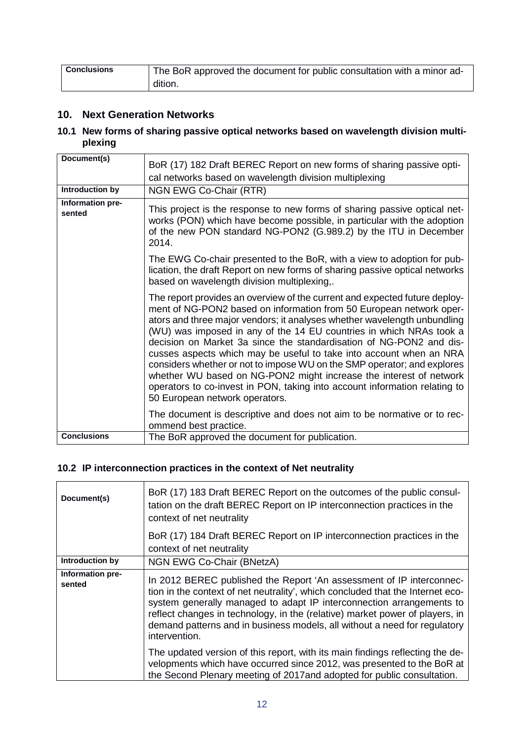| <b>Conclusions</b> | The BoR approved the document for public consultation with a minor ad- |
|--------------------|------------------------------------------------------------------------|
|                    | dition.                                                                |

### <span id="page-12-0"></span>**10. Next Generation Networks**

<span id="page-12-1"></span>**10.1 New forms of sharing passive optical networks based on wavelength division multiplexing**

| Document(s)                | BoR (17) 182 Draft BEREC Report on new forms of sharing passive opti-<br>cal networks based on wavelength division multiplexing                                                                                                                                                                                                                                                                                                                                                                                                                                                                                                                                                                                     |
|----------------------------|---------------------------------------------------------------------------------------------------------------------------------------------------------------------------------------------------------------------------------------------------------------------------------------------------------------------------------------------------------------------------------------------------------------------------------------------------------------------------------------------------------------------------------------------------------------------------------------------------------------------------------------------------------------------------------------------------------------------|
| Introduction by            | NGN EWG Co-Chair (RTR)                                                                                                                                                                                                                                                                                                                                                                                                                                                                                                                                                                                                                                                                                              |
| Information pre-<br>sented | This project is the response to new forms of sharing passive optical net-<br>works (PON) which have become possible, in particular with the adoption<br>of the new PON standard NG-PON2 (G.989.2) by the ITU in December<br>2014.                                                                                                                                                                                                                                                                                                                                                                                                                                                                                   |
|                            | The EWG Co-chair presented to the BoR, with a view to adoption for pub-<br>lication, the draft Report on new forms of sharing passive optical networks<br>based on wavelength division multiplexing,.                                                                                                                                                                                                                                                                                                                                                                                                                                                                                                               |
|                            | The report provides an overview of the current and expected future deploy-<br>ment of NG-PON2 based on information from 50 European network oper-<br>ators and three major vendors; it analyses whether wavelength unbundling<br>(WU) was imposed in any of the 14 EU countries in which NRAs took a<br>decision on Market 3a since the standardisation of NG-PON2 and dis-<br>cusses aspects which may be useful to take into account when an NRA<br>considers whether or not to impose WU on the SMP operator; and explores<br>whether WU based on NG-PON2 might increase the interest of network<br>operators to co-invest in PON, taking into account information relating to<br>50 European network operators. |
|                            | The document is descriptive and does not aim to be normative or to rec-<br>ommend best practice.                                                                                                                                                                                                                                                                                                                                                                                                                                                                                                                                                                                                                    |
| <b>Conclusions</b>         | The BoR approved the document for publication.                                                                                                                                                                                                                                                                                                                                                                                                                                                                                                                                                                                                                                                                      |

### <span id="page-12-2"></span>**10.2 IP interconnection practices in the context of Net neutrality**

| Document(s)                | BoR (17) 183 Draft BEREC Report on the outcomes of the public consul-<br>tation on the draft BEREC Report on IP interconnection practices in the<br>context of net neutrality                                                                                                                                                                                                                                |
|----------------------------|--------------------------------------------------------------------------------------------------------------------------------------------------------------------------------------------------------------------------------------------------------------------------------------------------------------------------------------------------------------------------------------------------------------|
|                            | BoR (17) 184 Draft BEREC Report on IP interconnection practices in the<br>context of net neutrality                                                                                                                                                                                                                                                                                                          |
| Introduction by            | NGN EWG Co-Chair (BNetzA)                                                                                                                                                                                                                                                                                                                                                                                    |
| Information pre-<br>sented | In 2012 BEREC published the Report 'An assessment of IP interconnec-<br>tion in the context of net neutrality', which concluded that the Internet eco-<br>system generally managed to adapt IP interconnection arrangements to<br>reflect changes in technology, in the (relative) market power of players, in<br>demand patterns and in business models, all without a need for regulatory<br>intervention. |
|                            | The updated version of this report, with its main findings reflecting the de-<br>velopments which have occurred since 2012, was presented to the BoR at<br>the Second Plenary meeting of 2017 and adopted for public consultation.                                                                                                                                                                           |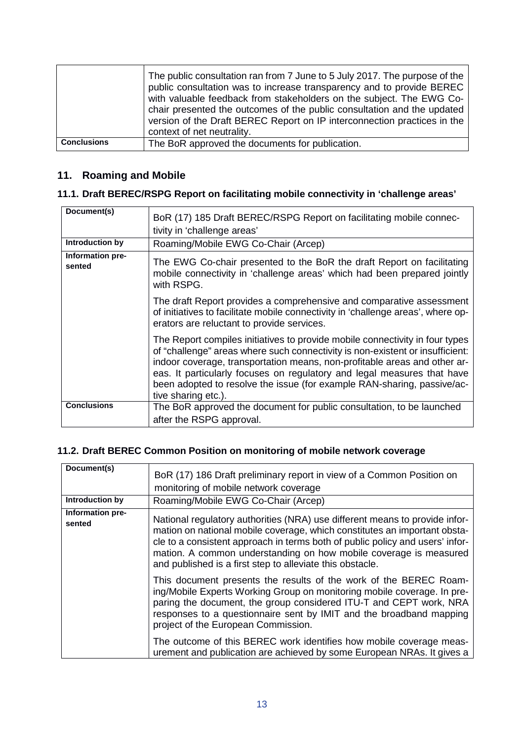|                    | The public consultation ran from 7 June to 5 July 2017. The purpose of the<br>public consultation was to increase transparency and to provide BEREC<br>with valuable feedback from stakeholders on the subject. The EWG Co-<br>chair presented the outcomes of the public consultation and the updated<br>version of the Draft BEREC Report on IP interconnection practices in the<br>context of net neutrality. |
|--------------------|------------------------------------------------------------------------------------------------------------------------------------------------------------------------------------------------------------------------------------------------------------------------------------------------------------------------------------------------------------------------------------------------------------------|
| <b>Conclusions</b> | The BoR approved the documents for publication.                                                                                                                                                                                                                                                                                                                                                                  |

### <span id="page-13-0"></span>**11. Roaming and Mobile**

### <span id="page-13-1"></span>**11.1. Draft BEREC/RSPG Report on facilitating mobile connectivity in 'challenge areas'**

| Document(s)                | BoR (17) 185 Draft BEREC/RSPG Report on facilitating mobile connec-<br>tivity in 'challenge areas'                                                                                                                                                                                                                                                                                                                      |
|----------------------------|-------------------------------------------------------------------------------------------------------------------------------------------------------------------------------------------------------------------------------------------------------------------------------------------------------------------------------------------------------------------------------------------------------------------------|
| Introduction by            | Roaming/Mobile EWG Co-Chair (Arcep)                                                                                                                                                                                                                                                                                                                                                                                     |
| Information pre-<br>sented | The EWG Co-chair presented to the BoR the draft Report on facilitating<br>mobile connectivity in 'challenge areas' which had been prepared jointly<br>with RSPG.                                                                                                                                                                                                                                                        |
|                            | The draft Report provides a comprehensive and comparative assessment<br>of initiatives to facilitate mobile connectivity in 'challenge areas', where op-<br>erators are reluctant to provide services.                                                                                                                                                                                                                  |
|                            | The Report compiles initiatives to provide mobile connectivity in four types<br>of "challenge" areas where such connectivity is non-existent or insufficient:<br>indoor coverage, transportation means, non-profitable areas and other ar-<br>eas. It particularly focuses on regulatory and legal measures that have<br>been adopted to resolve the issue (for example RAN-sharing, passive/ac-<br>tive sharing etc.). |
| <b>Conclusions</b>         | The BoR approved the document for public consultation, to be launched<br>after the RSPG approval.                                                                                                                                                                                                                                                                                                                       |

### <span id="page-13-2"></span>**11.2. Draft BEREC Common Position on monitoring of mobile network coverage**

| Document(s)<br>Introduction by | BoR (17) 186 Draft preliminary report in view of a Common Position on<br>monitoring of mobile network coverage<br>Roaming/Mobile EWG Co-Chair (Arcep)                                                                                                                                                                                                                                                   |
|--------------------------------|---------------------------------------------------------------------------------------------------------------------------------------------------------------------------------------------------------------------------------------------------------------------------------------------------------------------------------------------------------------------------------------------------------|
| Information pre-<br>sented     | National regulatory authorities (NRA) use different means to provide infor-<br>mation on national mobile coverage, which constitutes an important obsta-<br>cle to a consistent approach in terms both of public policy and users' infor-<br>mation. A common understanding on how mobile coverage is measured<br>and published is a first step to alleviate this obstacle.                             |
|                                | This document presents the results of the work of the BEREC Roam-<br>ing/Mobile Experts Working Group on monitoring mobile coverage. In pre-<br>paring the document, the group considered ITU-T and CEPT work, NRA<br>responses to a questionnaire sent by IMIT and the broadband mapping<br>project of the European Commission.<br>The outcome of this BEREC work identifies how mobile coverage meas- |
|                                | urement and publication are achieved by some European NRAs. It gives a                                                                                                                                                                                                                                                                                                                                  |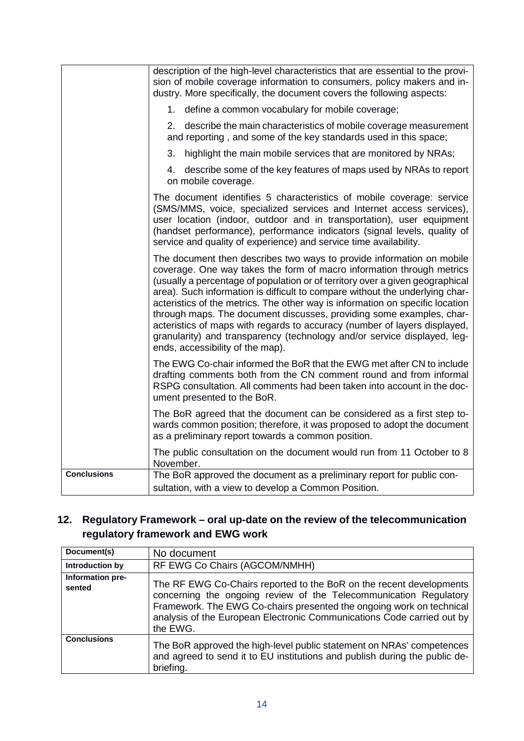|                    | description of the high-level characteristics that are essential to the provi-<br>sion of mobile coverage information to consumers, policy makers and in-<br>dustry. More specifically, the document covers the following aspects:                                                                                                                                                                                                                                                                                                                                                                                                                                    |
|--------------------|-----------------------------------------------------------------------------------------------------------------------------------------------------------------------------------------------------------------------------------------------------------------------------------------------------------------------------------------------------------------------------------------------------------------------------------------------------------------------------------------------------------------------------------------------------------------------------------------------------------------------------------------------------------------------|
|                    | 1. define a common vocabulary for mobile coverage;                                                                                                                                                                                                                                                                                                                                                                                                                                                                                                                                                                                                                    |
|                    | 2.<br>describe the main characteristics of mobile coverage measurement<br>and reporting, and some of the key standards used in this space;                                                                                                                                                                                                                                                                                                                                                                                                                                                                                                                            |
|                    | highlight the main mobile services that are monitored by NRAs;<br>3.                                                                                                                                                                                                                                                                                                                                                                                                                                                                                                                                                                                                  |
|                    | describe some of the key features of maps used by NRAs to report<br>4.<br>on mobile coverage.                                                                                                                                                                                                                                                                                                                                                                                                                                                                                                                                                                         |
|                    | The document identifies 5 characteristics of mobile coverage: service<br>(SMS/MMS, voice, specialized services and Internet access services),<br>user location (indoor, outdoor and in transportation), user equipment<br>(handset performance), performance indicators (signal levels, quality of<br>service and quality of experience) and service time availability.                                                                                                                                                                                                                                                                                               |
|                    | The document then describes two ways to provide information on mobile<br>coverage. One way takes the form of macro information through metrics<br>(usually a percentage of population or of territory over a given geographical<br>area). Such information is difficult to compare without the underlying char-<br>acteristics of the metrics. The other way is information on specific location<br>through maps. The document discusses, providing some examples, char-<br>acteristics of maps with regards to accuracy (number of layers displayed,<br>granularity) and transparency (technology and/or service displayed, leg-<br>ends, accessibility of the map). |
|                    | The EWG Co-chair informed the BoR that the EWG met after CN to include<br>drafting comments both from the CN comment round and from informal<br>RSPG consultation. All comments had been taken into account in the doc-<br>ument presented to the BoR.                                                                                                                                                                                                                                                                                                                                                                                                                |
|                    | The BoR agreed that the document can be considered as a first step to-<br>wards common position; therefore, it was proposed to adopt the document<br>as a preliminary report towards a common position.                                                                                                                                                                                                                                                                                                                                                                                                                                                               |
|                    | The public consultation on the document would run from 11 October to 8<br>November.                                                                                                                                                                                                                                                                                                                                                                                                                                                                                                                                                                                   |
| <b>Conclusions</b> | The BoR approved the document as a preliminary report for public con-<br>sultation, with a view to develop a Common Position.                                                                                                                                                                                                                                                                                                                                                                                                                                                                                                                                         |

### <span id="page-14-0"></span>**12. Regulatory Framework – oral up-date on the review of the telecommunication regulatory framework and EWG work**

| Document(s)                | No document                                                                                                                                                                                                                                                                                            |
|----------------------------|--------------------------------------------------------------------------------------------------------------------------------------------------------------------------------------------------------------------------------------------------------------------------------------------------------|
| Introduction by            | RF EWG Co Chairs (AGCOM/NMHH)                                                                                                                                                                                                                                                                          |
| Information pre-<br>sented | The RF EWG Co-Chairs reported to the BoR on the recent developments<br>concerning the ongoing review of the Telecommunication Regulatory<br>Framework. The EWG Co-chairs presented the ongoing work on technical<br>analysis of the European Electronic Communications Code carried out by<br>the EWG. |
| <b>Conclusions</b>         | The BoR approved the high-level public statement on NRAs' competences<br>and agreed to send it to EU institutions and publish during the public de-<br>briefing.                                                                                                                                       |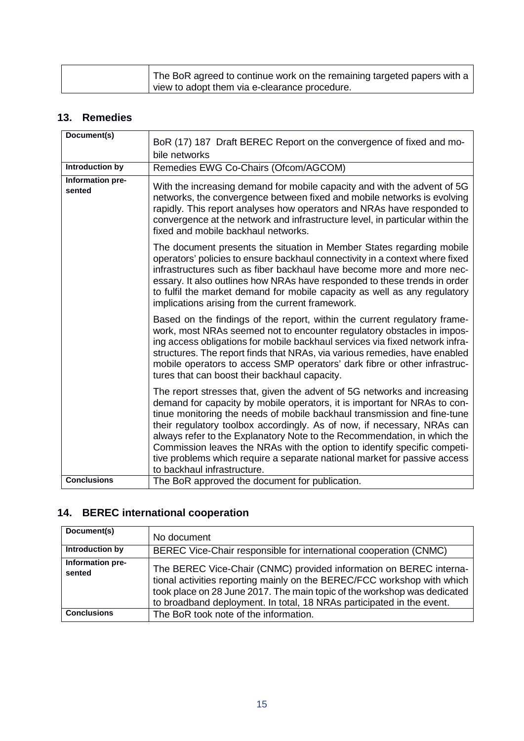| The BoR agreed to continue work on the remaining targeted papers with a |
|-------------------------------------------------------------------------|
| view to adopt them via e-clearance procedure.                           |

### <span id="page-15-0"></span>**13. Remedies**

| Document(s)                | BoR (17) 187 Draft BEREC Report on the convergence of fixed and mo-                                                                                                                                                                                                                                                                                                                                                                                                                                                                                                              |
|----------------------------|----------------------------------------------------------------------------------------------------------------------------------------------------------------------------------------------------------------------------------------------------------------------------------------------------------------------------------------------------------------------------------------------------------------------------------------------------------------------------------------------------------------------------------------------------------------------------------|
|                            | bile networks                                                                                                                                                                                                                                                                                                                                                                                                                                                                                                                                                                    |
| <b>Introduction by</b>     | Remedies EWG Co-Chairs (Ofcom/AGCOM)                                                                                                                                                                                                                                                                                                                                                                                                                                                                                                                                             |
| Information pre-<br>sented | With the increasing demand for mobile capacity and with the advent of 5G<br>networks, the convergence between fixed and mobile networks is evolving<br>rapidly. This report analyses how operators and NRAs have responded to<br>convergence at the network and infrastructure level, in particular within the<br>fixed and mobile backhaul networks.                                                                                                                                                                                                                            |
|                            | The document presents the situation in Member States regarding mobile<br>operators' policies to ensure backhaul connectivity in a context where fixed<br>infrastructures such as fiber backhaul have become more and more nec-<br>essary. It also outlines how NRAs have responded to these trends in order<br>to fulfil the market demand for mobile capacity as well as any regulatory<br>implications arising from the current framework.                                                                                                                                     |
|                            | Based on the findings of the report, within the current regulatory frame-<br>work, most NRAs seemed not to encounter regulatory obstacles in impos-<br>ing access obligations for mobile backhaul services via fixed network infra-<br>structures. The report finds that NRAs, via various remedies, have enabled<br>mobile operators to access SMP operators' dark fibre or other infrastruc-<br>tures that can boost their backhaul capacity.                                                                                                                                  |
|                            | The report stresses that, given the advent of 5G networks and increasing<br>demand for capacity by mobile operators, it is important for NRAs to con-<br>tinue monitoring the needs of mobile backhaul transmission and fine-tune<br>their regulatory toolbox accordingly. As of now, if necessary, NRAs can<br>always refer to the Explanatory Note to the Recommendation, in which the<br>Commission leaves the NRAs with the option to identify specific competi-<br>tive problems which require a separate national market for passive access<br>to backhaul infrastructure. |
| <b>Conclusions</b>         | The BoR approved the document for publication.                                                                                                                                                                                                                                                                                                                                                                                                                                                                                                                                   |

### <span id="page-15-1"></span>**14. BEREC international cooperation**

| Document(s)                | No document                                                                                                                                                                                                                                                                                        |
|----------------------------|----------------------------------------------------------------------------------------------------------------------------------------------------------------------------------------------------------------------------------------------------------------------------------------------------|
| Introduction by            | BEREC Vice-Chair responsible for international cooperation (CNMC)                                                                                                                                                                                                                                  |
| Information pre-<br>sented | The BEREC Vice-Chair (CNMC) provided information on BEREC interna-<br>tional activities reporting mainly on the BEREC/FCC workshop with which<br>took place on 28 June 2017. The main topic of the workshop was dedicated<br>to broadband deployment. In total, 18 NRAs participated in the event. |
| <b>Conclusions</b>         | The BoR took note of the information.                                                                                                                                                                                                                                                              |